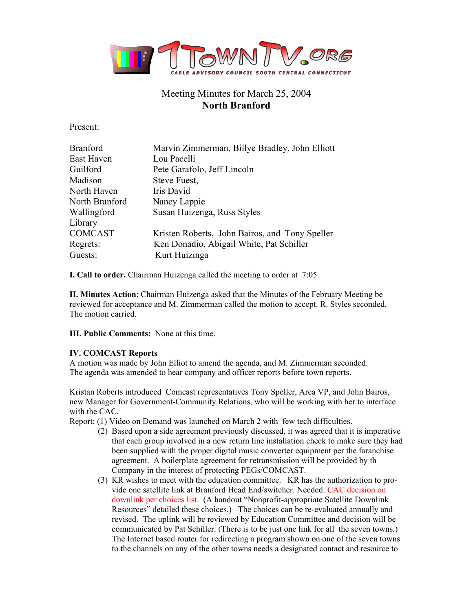

# Meeting Minutes for March 25, 2004 **North Branford**

Present:

| <b>Branford</b> | Marvin Zimmerman, Billye Bradley, John Elliott |
|-----------------|------------------------------------------------|
| East Haven      | Lou Pacelli                                    |
| Guilford        | Pete Garafolo, Jeff Lincoln                    |
| Madison         | Steve Fuest,                                   |
| North Haven     | Iris David                                     |
| North Branford  | Nancy Lappie                                   |
| Wallingford     | Susan Huizenga, Russ Styles                    |
| Library         |                                                |
| <b>COMCAST</b>  | Kristen Roberts, John Bairos, and Tony Speller |
| Regrets:        | Ken Donadio, Abigail White, Pat Schiller       |
| Guests:         | Kurt Huizinga                                  |

**I. Call to order.** Chairman Huizenga called the meeting to order at 7:05.

**II. Minutes Action**: Chairman Huizenga asked that the Minutes of the February Meeting be reviewed for acceptance and M. Zimmerman called the motion to accept. R. Styles seconded. The motion carried.

**III. Public Comments:** None at this time.

### **IV. COMCAST Reports**

A motion was made by John Elliot to amend the agenda, and M. Zimmerman seconded. The agenda was amended to hear company and officer reports before town reports.

Kristan Roberts introduced Comcast representatives Tony Speller, Area VP, and John Bairos, new Manager for Government-Community Relations, who will be working with her to interface with the CAC.

Report: (1) Video on Demand was launched on March 2 with few tech difficulties.

- (2) Based upon a side agreement previously discussed, it was agreed that it is imperative that each group involved in a new return line installation check to make sure they had been supplied with the proper digital music converter equipment per the faranchise agreement. A boilerplate agreement for retransmission will be provided by th Company in the interest of protecting PEGs/COMCAST.
- (3) KR wishes to meet with the education committee. KR has the authorization to provide one satellite link at Branford Head End/switcher. Needed: CAC decision on downlink per choices list. (A handout "Nonprofit-appropriate Satellite Downlink Resources" detailed these choices.) The choices can be re-evaluated annually and revised. The uplink will be reviewed by Education Committee and decision will be communicated by Pat Schiller. (There is to be just one link for all the seven towns.) The Internet based router for redirecting a program shown on one of the seven towns to the channels on any of the other towns needs a designated contact and resource to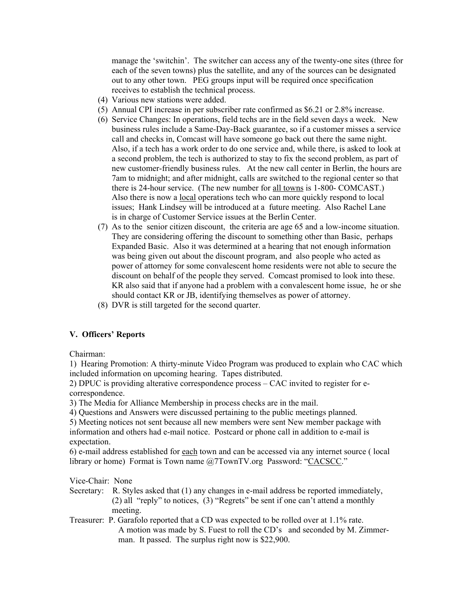manage the 'switchin'. The switcher can access any of the twenty-one sites (three for each of the seven towns) plus the satellite, and any of the sources can be designated out to any other town. PEG groups input will be required once specification receives to establish the technical process.

- (4) Various new stations were added.
- (5) Annual CPI increase in per subscriber rate confirmed as \$6.21 or 2.8% increase.
- (6) Service Changes: In operations, field techs are in the field seven days a week. New business rules include a Same-Day-Back guarantee, so if a customer misses a service call and checks in, Comcast will have someone go back out there the same night. Also, if a tech has a work order to do one service and, while there, is asked to look at a second problem, the tech is authorized to stay to fix the second problem, as part of new customer-friendly business rules. At the new call center in Berlin, the hours are 7am to midnight; and after midnight, calls are switched to the regional center so that there is 24-hour service. (The new number for all towns is 1-800- COMCAST.) Also there is now a local operations tech who can more quickly respond to local issues; Hank Lindsey will be introduced at a future meeting. Also Rachel Lane is in charge of Customer Service issues at the Berlin Center.
- (7) As to the senior citizen discount, the criteria are age 65 and a low-income situation. They are considering offering the discount to something other than Basic, perhaps Expanded Basic. Also it was determined at a hearing that not enough information was being given out about the discount program, and also people who acted as power of attorney for some convalescent home residents were not able to secure the discount on behalf of the people they served. Comcast promised to look into these. KR also said that if anyone had a problem with a convalescent home issue, he or she should contact KR or JB, identifying themselves as power of attorney.
- (8) DVR is still targeted for the second quarter.

### **V. Officers' Reports**

Chairman:

1) Hearing Promotion: A thirty-minute Video Program was produced to explain who CAC which included information on upcoming hearing. Tapes distributed.

2) DPUC is providing alterative correspondence process – CAC invited to register for ecorrespondence.

3) The Media for Alliance Membership in process checks are in the mail.

4) Questions and Answers were discussed pertaining to the public meetings planned.

5) Meeting notices not sent because all new members were sent New member package with information and others had e-mail notice. Postcard or phone call in addition to e-mail is expectation.

6) e-mail address established for each town and can be accessed via any internet source ( local library or home) Format is Town name @7TownTV.org Password: "CACSCC."

Vice-Chair: None

- Secretary: R. Styles asked that (1) any changes in e-mail address be reported immediately, (2) all "reply" to notices, (3) "Regrets" be sent if one can't attend a monthly meeting.
- Treasurer: P. Garafolo reported that a CD was expected to be rolled over at 1.1% rate. A motion was made by S. Fuest to roll the CD's and seconded by M. Zimmer man. It passed. The surplus right now is \$22,900.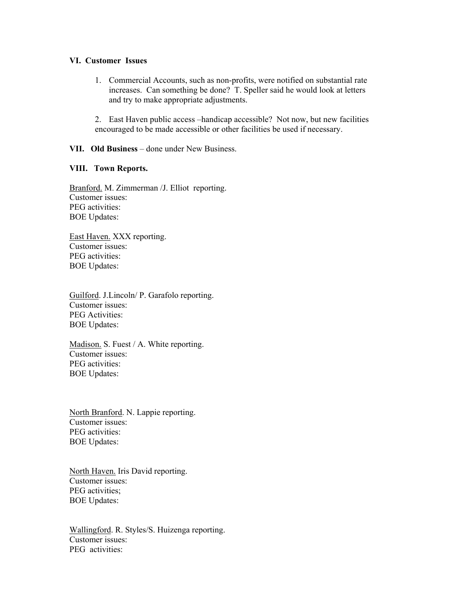#### **VI. Customer Issues**

- 1. Commercial Accounts, such as non-profits, were notified on substantial rate increases. Can something be done? T. Speller said he would look at letters and try to make appropriate adjustments.
- 2. East Haven public access –handicap accessible? Not now, but new facilities encouraged to be made accessible or other facilities be used if necessary.

#### **VII. Old Business** – done under New Business.

#### **VIII. Town Reports.**

Branford. M. Zimmerman /J. Elliot reporting. Customer issues: PEG activities: BOE Updates:

East Haven. XXX reporting. Customer issues: PEG activities: BOE Updates:

Guilford. J.Lincoln/ P. Garafolo reporting. Customer issues: PEG Activities: BOE Updates:

Madison. S. Fuest / A. White reporting. Customer issues: PEG activities: BOE Updates:

North Branford. N. Lappie reporting. Customer issues: PEG activities: BOE Updates:

North Haven. Iris David reporting. Customer issues: PEG activities; BOE Updates:

Wallingford. R. Styles/S. Huizenga reporting. Customer issues: PEG activities: